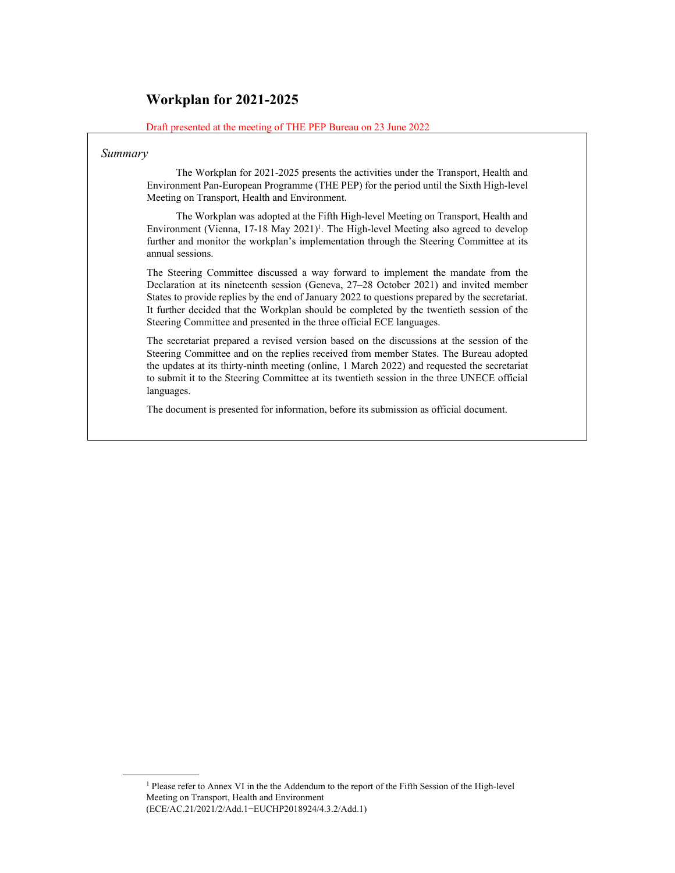## **Workplan for 2021-2025**

Draft presented at the meeting of THE PEP Bureau on 23 June 2022

#### *Summary*

 $\overline{a}$ 

 The Workplan for 2021-2025 presents the activities under the Transport, Health and Environment Pan-European Programme (THE PEP) for the period until the Sixth High-level Meeting on Transport, Health and Environment.

 The Workplan was adopted at the Fifth High-level Meeting on Transport, Health and Environment (Vienna, 17-18 May 2021)<sup>1</sup>. The High-level Meeting also agreed to develop further and monitor the workplan's implementation through the Steering Committee at its annual sessions.

The Steering Committee discussed a way forward to implement the mandate from the Declaration at its nineteenth session (Geneva, 27–28 October 2021) and invited member States to provide replies by the end of January 2022 to questions prepared by the secretariat. It further decided that the Workplan should be completed by the twentieth session of the Steering Committee and presented in the three official ECE languages.

The secretariat prepared a revised version based on the discussions at the session of the Steering Committee and on the replies received from member States. The Bureau adopted the updates at its thirty-ninth meeting (online, 1 March 2022) and requested the secretariat to submit it to the Steering Committee at its twentieth session in the three UNECE official languages.

The document is presented for information, before its submission as official document.

 <sup>1</sup>  $<sup>1</sup>$  Please refer to Annex VI in the the Addendum to the report of the Fifth Session of the High-level</sup> Meeting on Transport, Health and Environment (ECE/AC.21/2021/2/Add.1−EUCHP2018924/4.3.2/Add.1)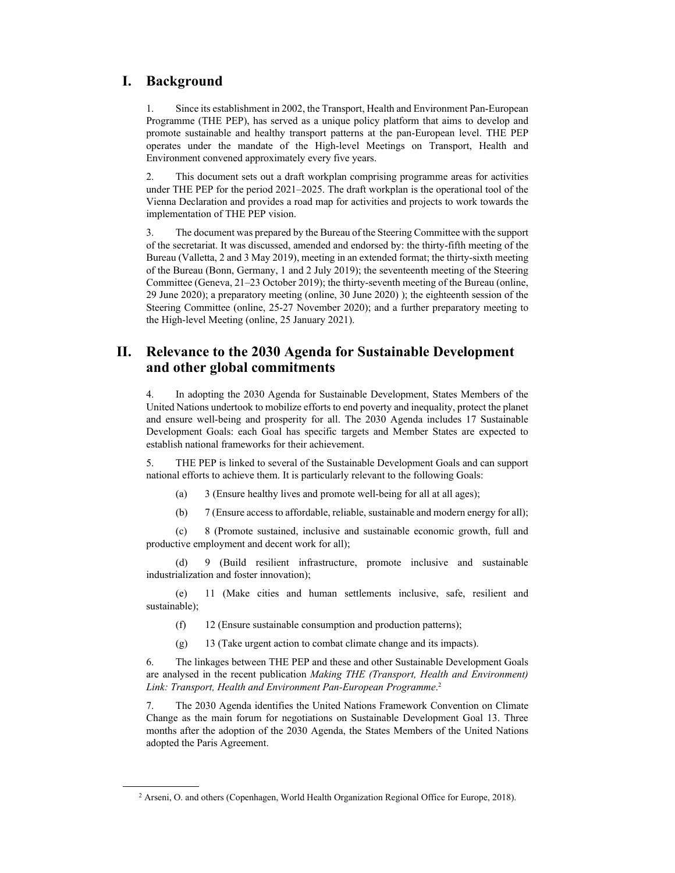#### **I. Background**

 $\overline{a}$ 

1. Since its establishment in 2002, the Transport, Health and Environment Pan-European Programme (THE PEP), has served as a unique policy platform that aims to develop and promote sustainable and healthy transport patterns at the pan-European level. THE PEP operates under the mandate of the High-level Meetings on Transport, Health and Environment convened approximately every five years.

2. This document sets out a draft workplan comprising programme areas for activities under THE PEP for the period 2021–2025. The draft workplan is the operational tool of the Vienna Declaration and provides a road map for activities and projects to work towards the implementation of THE PEP vision.

3. The document was prepared by the Bureau of the Steering Committee with the support of the secretariat. It was discussed, amended and endorsed by: the thirty-fifth meeting of the Bureau (Valletta, 2 and 3 May 2019), meeting in an extended format; the thirty-sixth meeting of the Bureau (Bonn, Germany, 1 and 2 July 2019); the seventeenth meeting of the Steering Committee (Geneva, 21–23 October 2019); the thirty-seventh meeting of the Bureau (online, 29 June 2020); a preparatory meeting (online, 30 June 2020) ); the eighteenth session of the Steering Committee (online, 25-27 November 2020); and a further preparatory meeting to the High-level Meeting (online, 25 January 2021).

### **II. Relevance to the 2030 Agenda for Sustainable Development and other global commitments**

4. In adopting the 2030 Agenda for Sustainable Development, States Members of the United Nations undertook to mobilize efforts to end poverty and inequality, protect the planet and ensure well-being and prosperity for all. The 2030 Agenda includes 17 Sustainable Development Goals: each Goal has specific targets and Member States are expected to establish national frameworks for their achievement.

5. THE PEP is linked to several of the Sustainable Development Goals and can support national efforts to achieve them. It is particularly relevant to the following Goals:

- (a) 3 (Ensure healthy lives and promote well-being for all at all ages);
- (b) 7 (Ensure access to affordable, reliable, sustainable and modern energy for all);

(c) 8 (Promote sustained, inclusive and sustainable economic growth, full and productive employment and decent work for all);

(d) 9 (Build resilient infrastructure, promote inclusive and sustainable industrialization and foster innovation);

(e) 11 (Make cities and human settlements inclusive, safe, resilient and sustainable);

- (f) 12 (Ensure sustainable consumption and production patterns);
- (g) 13 (Take urgent action to combat climate change and its impacts).

6. The linkages between THE PEP and these and other Sustainable Development Goals are analysed in the recent publication *Making THE (Transport, Health and Environment) Link: Transport, Health and Environment Pan-European Programme*. 2

7. The 2030 Agenda identifies the United Nations Framework Convention on Climate Change as the main forum for negotiations on Sustainable Development Goal 13. Three months after the adoption of the 2030 Agenda, the States Members of the United Nations adopted the Paris Agreement.

<sup>&</sup>lt;sup>2</sup> Arseni, O. and others (Copenhagen, World Health Organization Regional Office for Europe, 2018).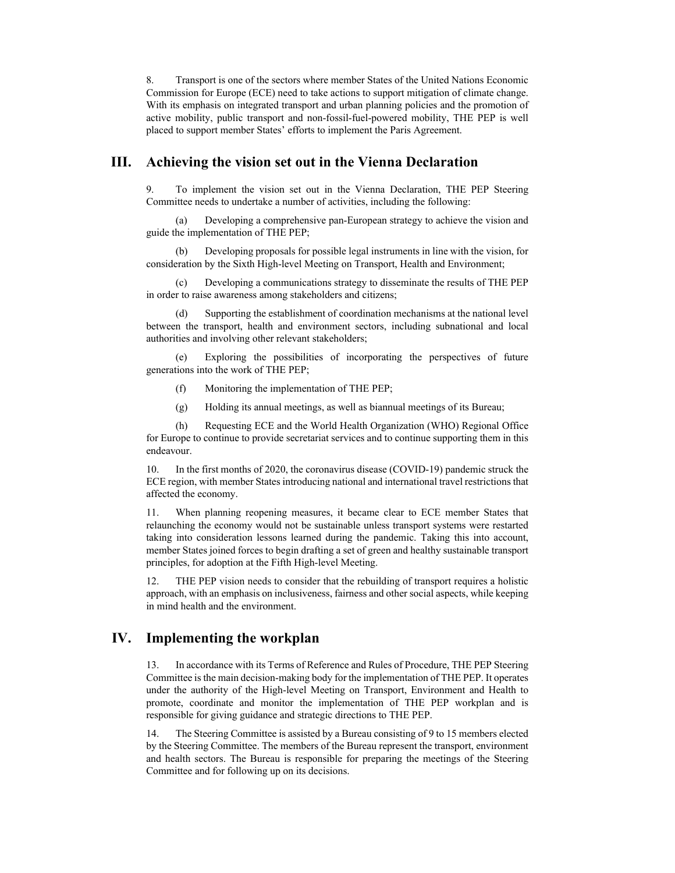8. Transport is one of the sectors where member States of the United Nations Economic Commission for Europe (ECE) need to take actions to support mitigation of climate change. With its emphasis on integrated transport and urban planning policies and the promotion of active mobility, public transport and non-fossil-fuel-powered mobility, THE PEP is well placed to support member States' efforts to implement the Paris Agreement.

#### **III. Achieving the vision set out in the Vienna Declaration**

9. To implement the vision set out in the Vienna Declaration, THE PEP Steering Committee needs to undertake a number of activities, including the following:

(a) Developing a comprehensive pan-European strategy to achieve the vision and guide the implementation of THE PEP;

(b) Developing proposals for possible legal instruments in line with the vision, for consideration by the Sixth High-level Meeting on Transport, Health and Environment;

(c) Developing a communications strategy to disseminate the results of THE PEP in order to raise awareness among stakeholders and citizens;

(d) Supporting the establishment of coordination mechanisms at the national level between the transport, health and environment sectors, including subnational and local authorities and involving other relevant stakeholders;

(e) Exploring the possibilities of incorporating the perspectives of future generations into the work of THE PEP;

- (f) Monitoring the implementation of THE PEP;
- (g) Holding its annual meetings, as well as biannual meetings of its Bureau;

(h) Requesting ECE and the World Health Organization (WHO) Regional Office for Europe to continue to provide secretariat services and to continue supporting them in this endeavour.

10. In the first months of 2020, the coronavirus disease (COVID-19) pandemic struck the ECE region, with member States introducing national and international travel restrictions that affected the economy.

11. When planning reopening measures, it became clear to ECE member States that relaunching the economy would not be sustainable unless transport systems were restarted taking into consideration lessons learned during the pandemic. Taking this into account, member States joined forces to begin drafting a set of green and healthy sustainable transport principles, for adoption at the Fifth High-level Meeting.

12. THE PEP vision needs to consider that the rebuilding of transport requires a holistic approach, with an emphasis on inclusiveness, fairness and other social aspects, while keeping in mind health and the environment.

### **IV. Implementing the workplan**

13. In accordance with its Terms of Reference and Rules of Procedure, THE PEP Steering Committee is the main decision-making body for the implementation of THE PEP. It operates under the authority of the High-level Meeting on Transport, Environment and Health to promote, coordinate and monitor the implementation of THE PEP workplan and is responsible for giving guidance and strategic directions to THE PEP.

14. The Steering Committee is assisted by a Bureau consisting of 9 to 15 members elected by the Steering Committee. The members of the Bureau represent the transport, environment and health sectors. The Bureau is responsible for preparing the meetings of the Steering Committee and for following up on its decisions.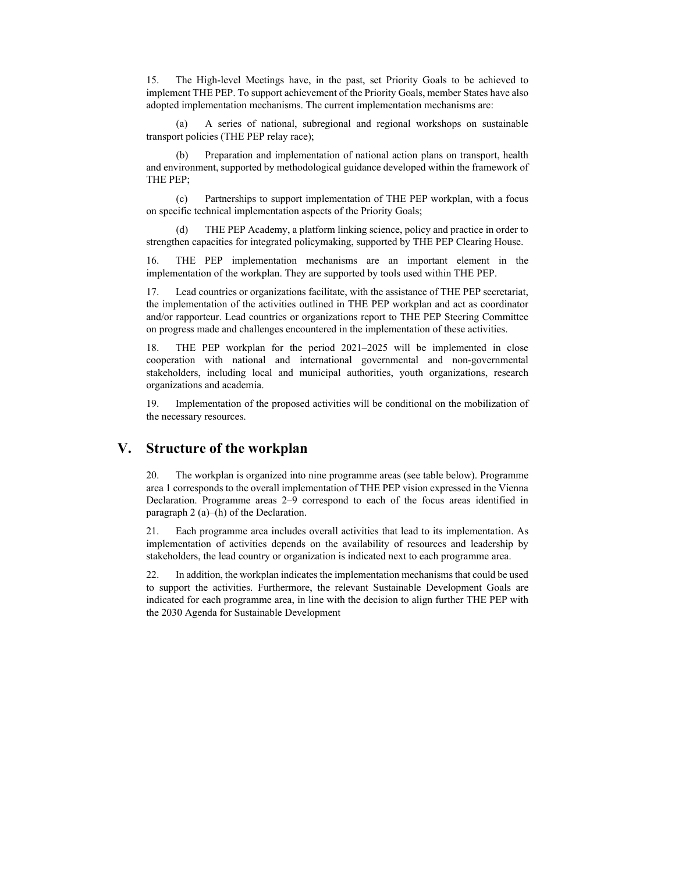15. The High-level Meetings have, in the past, set Priority Goals to be achieved to implement THE PEP. To support achievement of the Priority Goals, member States have also adopted implementation mechanisms. The current implementation mechanisms are:

(a) A series of national, subregional and regional workshops on sustainable transport policies (THE PEP relay race);

(b) Preparation and implementation of national action plans on transport, health and environment, supported by methodological guidance developed within the framework of THE PEP;

(c) Partnerships to support implementation of THE PEP workplan, with a focus on specific technical implementation aspects of the Priority Goals;

THE PEP Academy, a platform linking science, policy and practice in order to strengthen capacities for integrated policymaking, supported by THE PEP Clearing House.

16. THE PEP implementation mechanisms are an important element in the implementation of the workplan. They are supported by tools used within THE PEP.

17. Lead countries or organizations facilitate, with the assistance of THE PEP secretariat, the implementation of the activities outlined in THE PEP workplan and act as coordinator and/or rapporteur. Lead countries or organizations report to THE PEP Steering Committee on progress made and challenges encountered in the implementation of these activities.

18. THE PEP workplan for the period 2021–2025 will be implemented in close cooperation with national and international governmental and non-governmental stakeholders, including local and municipal authorities, youth organizations, research organizations and academia.

19. Implementation of the proposed activities will be conditional on the mobilization of the necessary resources.

#### **V. Structure of the workplan**

20. The workplan is organized into nine programme areas (see table below). Programme area 1 corresponds to the overall implementation of THE PEP vision expressed in the Vienna Declaration. Programme areas 2–9 correspond to each of the focus areas identified in paragraph 2 (a)–(h) of the Declaration.

21. Each programme area includes overall activities that lead to its implementation. As implementation of activities depends on the availability of resources and leadership by stakeholders, the lead country or organization is indicated next to each programme area.

22. In addition, the workplan indicates the implementation mechanisms that could be used to support the activities. Furthermore, the relevant Sustainable Development Goals are indicated for each programme area, in line with the decision to align further THE PEP with the 2030 Agenda for Sustainable Development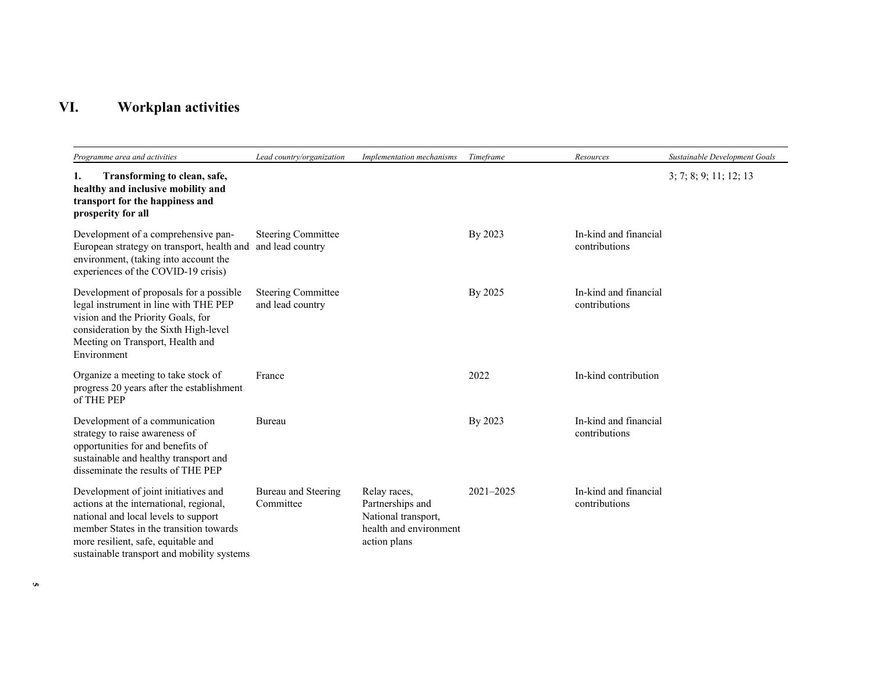# **VI. Workplan activities**

| Programme area and activities                                                                                                                                                                                                                           | Lead country/organization                     | Implementation mechanisms                                                                         | Timeframe | Resources                              | Sustainable Development Goals |
|---------------------------------------------------------------------------------------------------------------------------------------------------------------------------------------------------------------------------------------------------------|-----------------------------------------------|---------------------------------------------------------------------------------------------------|-----------|----------------------------------------|-------------------------------|
| Transforming to clean, safe,<br>1.<br>healthy and inclusive mobility and<br>transport for the happiness and<br>prosperity for all                                                                                                                       |                                               |                                                                                                   |           |                                        | 3; 7; 8; 9; 11; 12; 13        |
| Development of a comprehensive pan-<br>European strategy on transport, health and<br>environment, (taking into account the<br>experiences of the COVID-19 crisis)                                                                                       | <b>Steering Committee</b><br>and lead country |                                                                                                   | By 2023   | In-kind and financial<br>contributions |                               |
| Development of proposals for a possible<br>legal instrument in line with THE PEP<br>vision and the Priority Goals, for<br>consideration by the Sixth High-level<br>Meeting on Transport, Health and<br>Environment                                      | <b>Steering Committee</b><br>and lead country |                                                                                                   | By 2025   | In-kind and financial<br>contributions |                               |
| Organize a meeting to take stock of<br>progress 20 years after the establishment<br>of THE PEP                                                                                                                                                          | France                                        |                                                                                                   | 2022      | In-kind contribution                   |                               |
| Development of a communication<br>strategy to raise awareness of<br>opportunities for and benefits of<br>sustainable and healthy transport and<br>disseminate the results of THE PEP                                                                    | Bureau                                        |                                                                                                   | By 2023   | In-kind and financial<br>contributions |                               |
| Development of joint initiatives and<br>actions at the international, regional,<br>national and local levels to support<br>member States in the transition towards<br>more resilient, safe, equitable and<br>sustainable transport and mobility systems | Bureau and Steering<br>Committee              | Relay races,<br>Partnerships and<br>National transport,<br>health and environment<br>action plans | 2021-2025 | In-kind and financial<br>contributions |                               |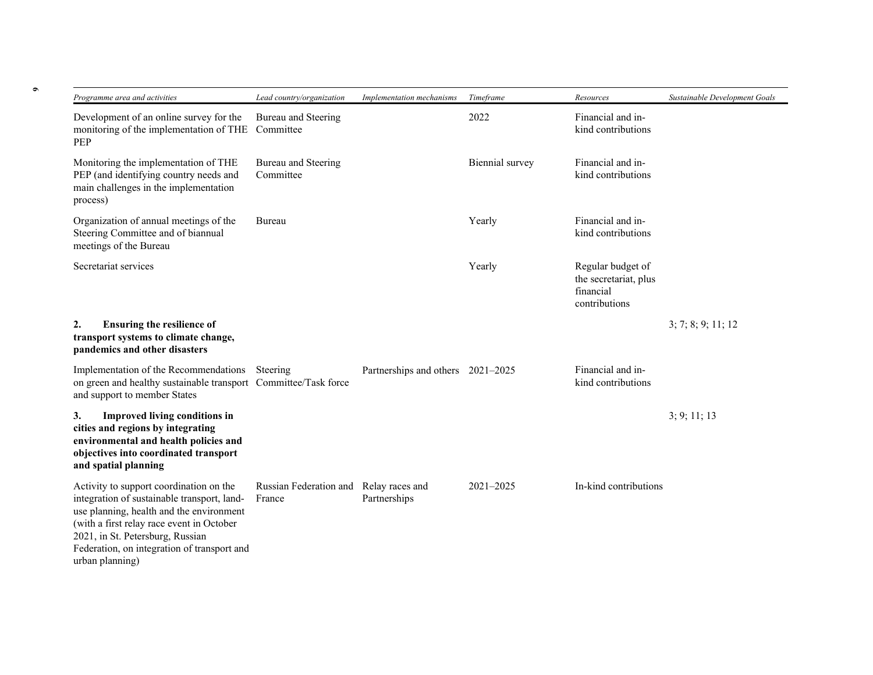| Programme area and activities                                                                                                                                                                                                                                                         | Lead country/organization                        | Implementation mechanisms         | Timeframe       | Resources                                                                | Sustainable Development Goals |
|---------------------------------------------------------------------------------------------------------------------------------------------------------------------------------------------------------------------------------------------------------------------------------------|--------------------------------------------------|-----------------------------------|-----------------|--------------------------------------------------------------------------|-------------------------------|
| Development of an online survey for the<br>monitoring of the implementation of THE<br><b>PEP</b>                                                                                                                                                                                      | Bureau and Steering<br>Committee                 |                                   | 2022            | Financial and in-<br>kind contributions                                  |                               |
| Monitoring the implementation of THE<br>PEP (and identifying country needs and<br>main challenges in the implementation<br>process)                                                                                                                                                   | Bureau and Steering<br>Committee                 |                                   | Biennial survey | Financial and in-<br>kind contributions                                  |                               |
| Organization of annual meetings of the<br>Steering Committee and of biannual<br>meetings of the Bureau                                                                                                                                                                                | Bureau                                           |                                   | Yearly          | Financial and in-<br>kind contributions                                  |                               |
| Secretariat services                                                                                                                                                                                                                                                                  |                                                  |                                   | Yearly          | Regular budget of<br>the secretariat, plus<br>financial<br>contributions |                               |
| <b>Ensuring the resilience of</b><br>2.<br>transport systems to climate change,<br>pandemics and other disasters                                                                                                                                                                      |                                                  |                                   |                 |                                                                          | 3; 7; 8; 9; 11; 12            |
| Implementation of the Recommendations<br>on green and healthy sustainable transport Committee/Task force<br>and support to member States                                                                                                                                              | Steering                                         | Partnerships and others 2021-2025 |                 | Financial and in-<br>kind contributions                                  |                               |
| <b>Improved living conditions in</b><br>3.<br>cities and regions by integrating<br>environmental and health policies and<br>objectives into coordinated transport<br>and spatial planning                                                                                             |                                                  |                                   |                 |                                                                          | 3; 9; 11; 13                  |
| Activity to support coordination on the<br>integration of sustainable transport, land-<br>use planning, health and the environment<br>(with a first relay race event in October<br>2021, in St. Petersburg, Russian<br>Federation, on integration of transport and<br>urban planning) | Russian Federation and Relay races and<br>France | Partnerships                      | $2021 - 2025$   | In-kind contributions                                                    |                               |

**6**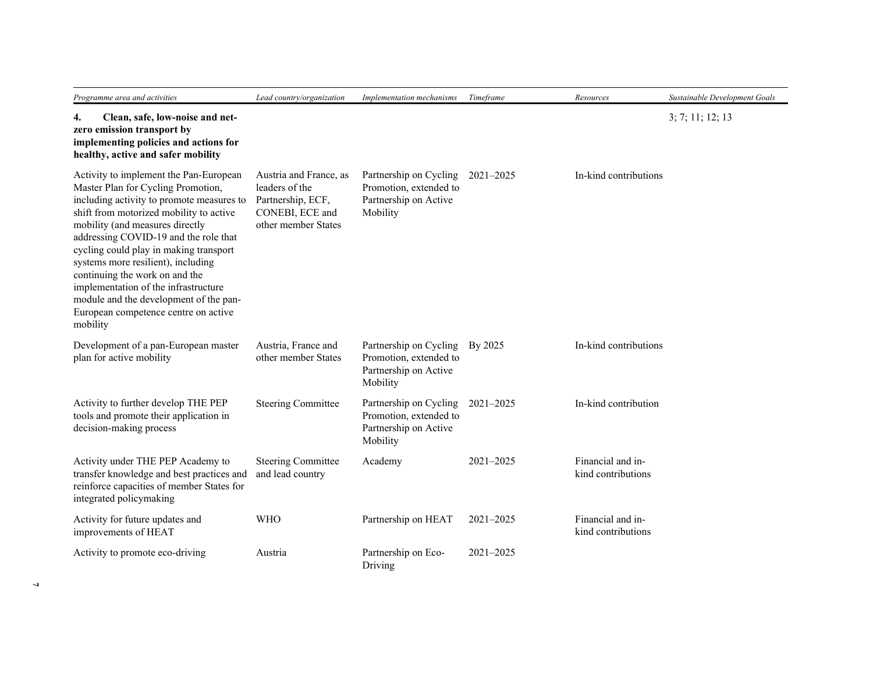| Programme area and activities                                                                                                                                                                                                                                                                                                                                                                                                                                                                            | Lead country/organization                                                                               | Implementation mechanisms                                                             | Timeframe     | Resources                               | Sustainable Development Goals |
|----------------------------------------------------------------------------------------------------------------------------------------------------------------------------------------------------------------------------------------------------------------------------------------------------------------------------------------------------------------------------------------------------------------------------------------------------------------------------------------------------------|---------------------------------------------------------------------------------------------------------|---------------------------------------------------------------------------------------|---------------|-----------------------------------------|-------------------------------|
| Clean, safe, low-noise and net-<br>4.<br>zero emission transport by<br>implementing policies and actions for<br>healthy, active and safer mobility                                                                                                                                                                                                                                                                                                                                                       |                                                                                                         |                                                                                       |               |                                         | 3; 7; 11; 12; 13              |
| Activity to implement the Pan-European<br>Master Plan for Cycling Promotion,<br>including activity to promote measures to<br>shift from motorized mobility to active<br>mobility (and measures directly<br>addressing COVID-19 and the role that<br>cycling could play in making transport<br>systems more resilient), including<br>continuing the work on and the<br>implementation of the infrastructure<br>module and the development of the pan-<br>European competence centre on active<br>mobility | Austria and France, as<br>leaders of the<br>Partnership, ECF,<br>CONEBI, ECE and<br>other member States | Partnership on Cycling<br>Promotion, extended to<br>Partnership on Active<br>Mobility | $2021 - 2025$ | In-kind contributions                   |                               |
| Development of a pan-European master<br>plan for active mobility                                                                                                                                                                                                                                                                                                                                                                                                                                         | Austria, France and<br>other member States                                                              | Partnership on Cycling<br>Promotion, extended to<br>Partnership on Active<br>Mobility | By 2025       | In-kind contributions                   |                               |
| Activity to further develop THE PEP<br>tools and promote their application in<br>decision-making process                                                                                                                                                                                                                                                                                                                                                                                                 | <b>Steering Committee</b>                                                                               | Partnership on Cycling<br>Promotion, extended to<br>Partnership on Active<br>Mobility | 2021-2025     | In-kind contribution                    |                               |
| Activity under THE PEP Academy to<br>transfer knowledge and best practices and<br>reinforce capacities of member States for<br>integrated policymaking                                                                                                                                                                                                                                                                                                                                                   | <b>Steering Committee</b><br>and lead country                                                           | Academy                                                                               | 2021-2025     | Financial and in-<br>kind contributions |                               |
| Activity for future updates and<br>improvements of HEAT                                                                                                                                                                                                                                                                                                                                                                                                                                                  | <b>WHO</b>                                                                                              | Partnership on HEAT                                                                   | 2021-2025     | Financial and in-<br>kind contributions |                               |
| Activity to promote eco-driving                                                                                                                                                                                                                                                                                                                                                                                                                                                                          | Austria                                                                                                 | Partnership on Eco-<br>Driving                                                        | 2021-2025     |                                         |                               |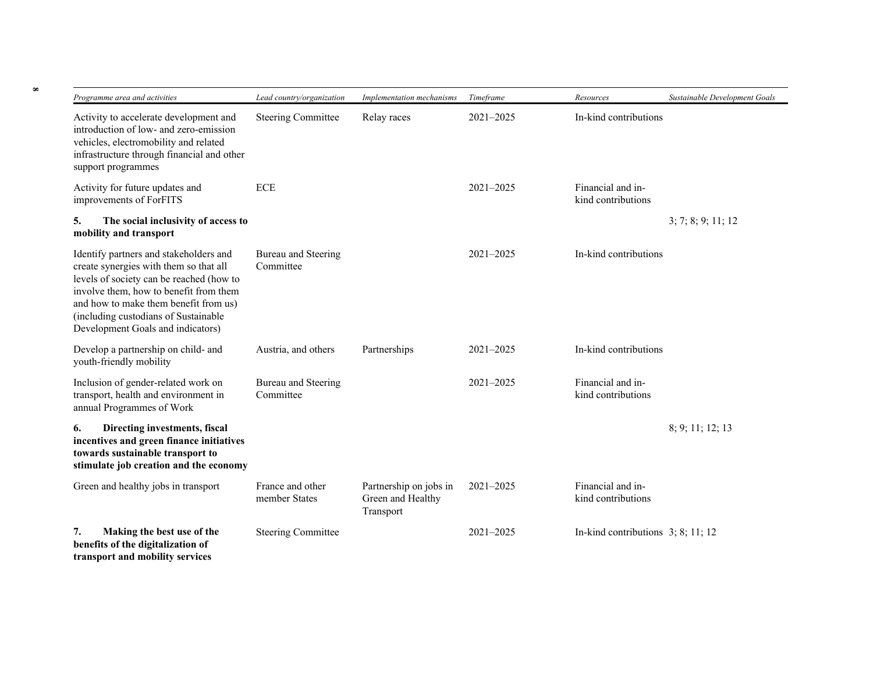| Programme area and activities                                                                                                                                                                                                                                                                | Lead country/organization         | Implementation mechanisms                                | Timeframe     | Resources                               | Sustainable Development Goals |
|----------------------------------------------------------------------------------------------------------------------------------------------------------------------------------------------------------------------------------------------------------------------------------------------|-----------------------------------|----------------------------------------------------------|---------------|-----------------------------------------|-------------------------------|
| Activity to accelerate development and<br>introduction of low- and zero-emission<br>vehicles, electromobility and related<br>infrastructure through financial and other<br>support programmes                                                                                                | <b>Steering Committee</b>         | Relay races                                              | $2021 - 2025$ | In-kind contributions                   |                               |
| Activity for future updates and<br>improvements of ForFITS                                                                                                                                                                                                                                   | <b>ECE</b>                        |                                                          | $2021 - 2025$ | Financial and in-<br>kind contributions |                               |
| 5.<br>The social inclusivity of access to<br>mobility and transport                                                                                                                                                                                                                          |                                   |                                                          |               |                                         | 3; 7; 8; 9; 11; 12            |
| Identify partners and stakeholders and<br>create synergies with them so that all<br>levels of society can be reached (how to<br>involve them, how to benefit from them<br>and how to make them benefit from us)<br>(including custodians of Sustainable<br>Development Goals and indicators) | Bureau and Steering<br>Committee  |                                                          | $2021 - 2025$ | In-kind contributions                   |                               |
| Develop a partnership on child- and<br>youth-friendly mobility                                                                                                                                                                                                                               | Austria, and others               | Partnerships                                             | $2021 - 2025$ | In-kind contributions                   |                               |
| Inclusion of gender-related work on<br>transport, health and environment in<br>annual Programmes of Work                                                                                                                                                                                     | Bureau and Steering<br>Committee  |                                                          | 2021-2025     | Financial and in-<br>kind contributions |                               |
| Directing investments, fiscal<br>6.<br>incentives and green finance initiatives<br>towards sustainable transport to<br>stimulate job creation and the economy                                                                                                                                |                                   |                                                          |               |                                         | 8; 9; 11; 12; 13              |
| Green and healthy jobs in transport                                                                                                                                                                                                                                                          | France and other<br>member States | Partnership on jobs in<br>Green and Healthy<br>Transport | $2021 - 2025$ | Financial and in-<br>kind contributions |                               |
| Making the best use of the<br>7.<br>benefits of the digitalization of<br>transport and mobility services                                                                                                                                                                                     | <b>Steering Committee</b>         |                                                          | 2021-2025     | In-kind contributions $3; 8; 11; 12$    |                               |

**8**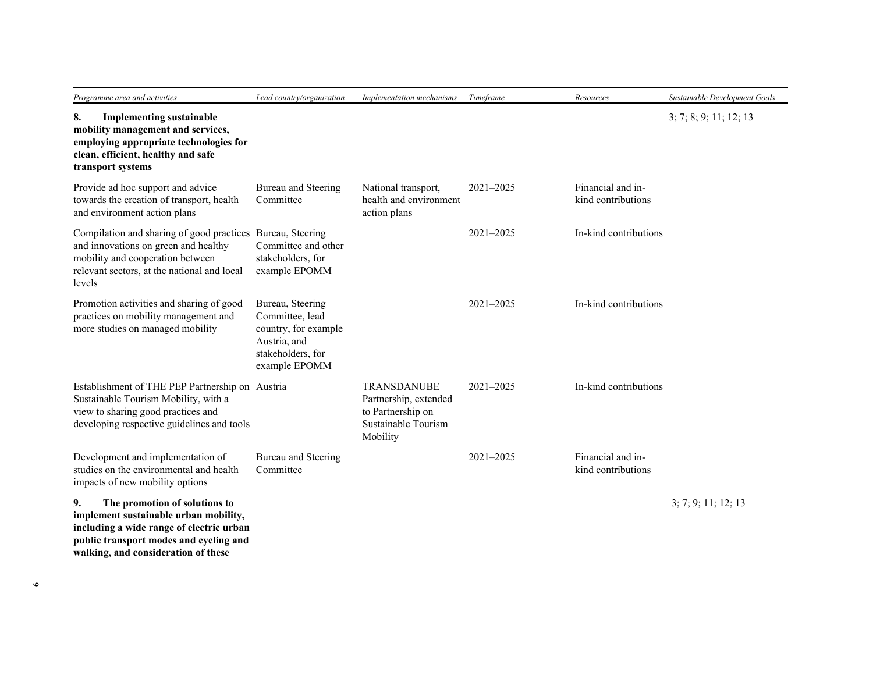| Programme area and activities                                                                                                                                                                             | Lead country/organization                                                                                         | Implementation mechanisms                                                                           | Timeframe     | Resources                               | Sustainable Development Goals |
|-----------------------------------------------------------------------------------------------------------------------------------------------------------------------------------------------------------|-------------------------------------------------------------------------------------------------------------------|-----------------------------------------------------------------------------------------------------|---------------|-----------------------------------------|-------------------------------|
| 8.<br><b>Implementing sustainable</b><br>mobility management and services,<br>employing appropriate technologies for<br>clean, efficient, healthy and safe<br>transport systems                           |                                                                                                                   |                                                                                                     |               |                                         | 3; 7; 8; 9; 11; 12; 13        |
| Provide ad hoc support and advice<br>towards the creation of transport, health<br>and environment action plans                                                                                            | Bureau and Steering<br>Committee                                                                                  | National transport,<br>health and environment<br>action plans                                       | $2021 - 2025$ | Financial and in-<br>kind contributions |                               |
| Compilation and sharing of good practices Bureau, Steering<br>and innovations on green and healthy<br>mobility and cooperation between<br>relevant sectors, at the national and local<br>levels           | Committee and other<br>stakeholders, for<br>example EPOMM                                                         |                                                                                                     | $2021 - 2025$ | In-kind contributions                   |                               |
| Promotion activities and sharing of good<br>practices on mobility management and<br>more studies on managed mobility                                                                                      | Bureau, Steering<br>Committee, lead<br>country, for example<br>Austria, and<br>stakeholders, for<br>example EPOMM |                                                                                                     | 2021-2025     | In-kind contributions                   |                               |
| Establishment of THE PEP Partnership on Austria<br>Sustainable Tourism Mobility, with a<br>view to sharing good practices and<br>developing respective guidelines and tools                               |                                                                                                                   | <b>TRANSDANUBE</b><br>Partnership, extended<br>to Partnership on<br>Sustainable Tourism<br>Mobility | $2021 - 2025$ | In-kind contributions                   |                               |
| Development and implementation of<br>studies on the environmental and health<br>impacts of new mobility options                                                                                           | Bureau and Steering<br>Committee                                                                                  |                                                                                                     | $2021 - 2025$ | Financial and in-<br>kind contributions |                               |
| 9.<br>The promotion of solutions to<br>implement sustainable urban mobility,<br>including a wide range of electric urban<br>public transport modes and cycling and<br>walking, and consideration of these |                                                                                                                   |                                                                                                     |               |                                         | 3; 7; 9; 11; 12; 13           |

**9**